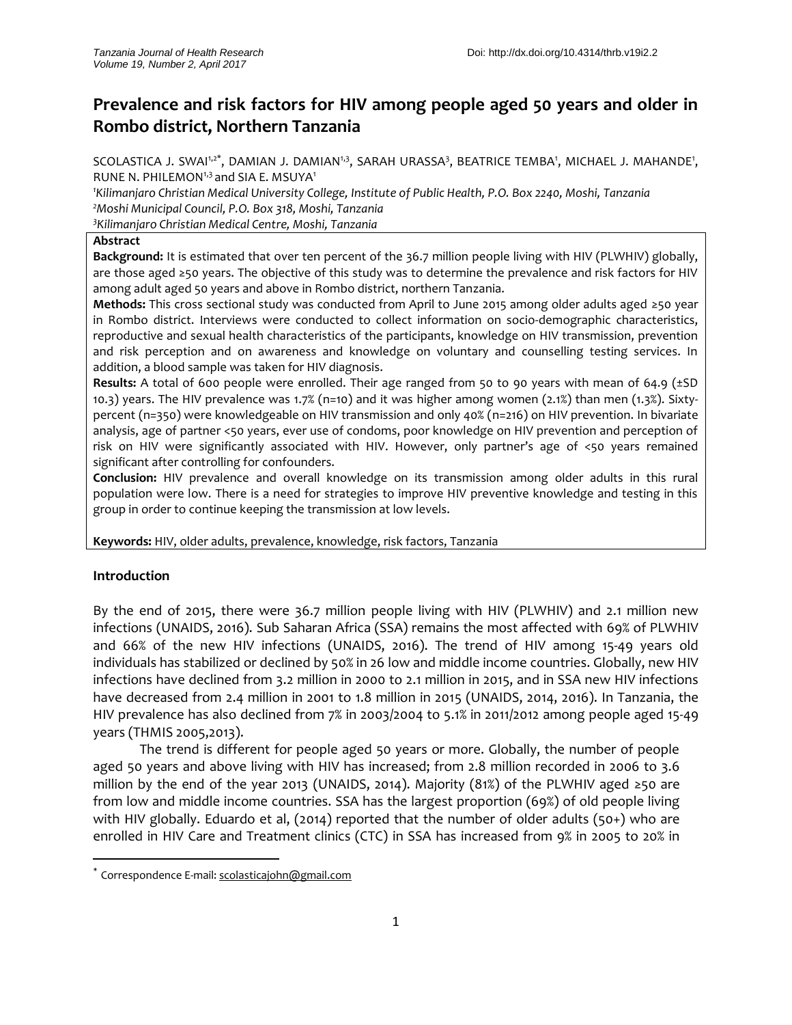# **Prevalence and risk factors for HIV among people aged 50 years and older in Rombo district, Northern Tanzania**

SCOLASTICA J. SWAI1,2\*, DAMIAN J. DAMIAN1,3, SARAH URASSA3, BEATRICE TEMBA', MICHAEL J. MAHANDE', RUNE N. PHILEMON<sup>1,3</sup> and SIA E. MSUYA<sup>1</sup>

*<sup>1</sup>Kilimanjaro Christian Medical University College, Institute of Public Health, P.O. Box 2240, Moshi, Tanzania <sup>2</sup>Moshi Municipal Council, P.O. Box 318, Moshi, Tanzania*

*<sup>3</sup>Kilimanjaro Christian Medical Centre, Moshi, Tanzania*

#### **Abstract**

**Background:** It is estimated that over ten percent of the 36.7 million people living with HIV (PLWHIV) globally, are those aged ≥50 years. The objective of this study was to determine the prevalence and risk factors for HIV among adult aged 50 years and above in Rombo district, northern Tanzania.

**Methods:** This cross sectional study was conducted from April to June 2015 among older adults aged ≥50 year in Rombo district. Interviews were conducted to collect information on socio-demographic characteristics, reproductive and sexual health characteristics of the participants, knowledge on HIV transmission, prevention and risk perception and on awareness and knowledge on voluntary and counselling testing services. In addition, a blood sample was taken for HIV diagnosis.

**Results:** A total of 600 people were enrolled. Their age ranged from 50 to 90 years with mean of 64.9 (±SD 10.3) years. The HIV prevalence was 1.7% (n=10) and it was higher among women (2.1%) than men (1.3%). Sixtypercent (n=350) were knowledgeable on HIV transmission and only 40% (n=216) on HIV prevention. In bivariate analysis, age of partner <50 years, ever use of condoms, poor knowledge on HIV prevention and perception of risk on HIV were significantly associated with HIV. However, only partner's age of <50 years remained significant after controlling for confounders.

**Conclusion:** HIV prevalence and overall knowledge on its transmission among older adults in this rural population were low. There is a need for strategies to improve HIV preventive knowledge and testing in this group in order to continue keeping the transmission at low levels.

**Keywords:** HIV, older adults, prevalence, knowledge, risk factors, Tanzania

## **Introduction**

 $\overline{\phantom{a}}$ 

By the end of 2015, there were 36.7 million people living with HIV (PLWHIV) and 2.1 million new infections (UNAIDS, 2016). Sub Saharan Africa (SSA) remains the most affected with 69% of PLWHIV and 66% of the new HIV infections (UNAIDS, 2016). The trend of HIV among 15-49 years old individuals has stabilized or declined by 50% in 26 low and middle income countries. Globally, new HIV infections have declined from 3.2 million in 2000 to 2.1 million in 2015, and in SSA new HIV infections have decreased from 2.4 million in 2001 to 1.8 million in 2015 (UNAIDS, 2014, 2016). In Tanzania, the HIV prevalence has also declined from 7% in 2003/2004 to 5.1% in 2011/2012 among people aged 15-49 years (THMIS 2005,2013).

The trend is different for people aged 50 years or more. Globally, the number of people aged 50 years and above living with HIV has increased; from 2.8 million recorded in 2006 to 3.6 million by the end of the year 2013 (UNAIDS, 2014). Majority (81%) of the PLWHIV aged ≥50 are from low and middle income countries. SSA has the largest proportion (69%) of old people living with HIV globally. Eduardo et al, (2014) reported that the number of older adults (50+) who are enrolled in HIV Care and Treatment clinics (CTC) in SSA has increased from 9% in 2005 to 20% in

<sup>\*</sup> Correspondence E-mail[: scolasticajohn@gmail.com](mailto:scolasticajohn@gmail.com)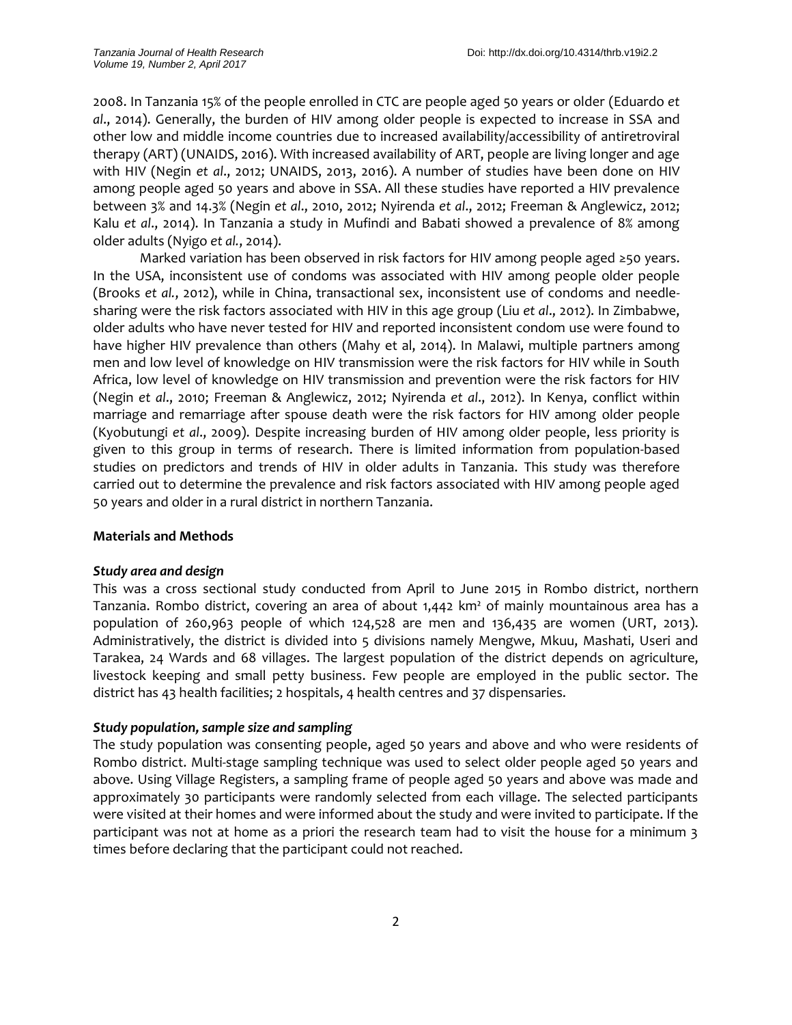2008. In Tanzania 15% of the people enrolled in CTC are people aged 50 years or older (Eduardo *et al*., 2014). Generally, the burden of HIV among older people is expected to increase in SSA and other low and middle income countries due to increased availability/accessibility of antiretroviral therapy (ART) (UNAIDS, 2016). With increased availability of ART, people are living longer and age with HIV (Negin *et al*., 2012; UNAIDS, 2013, 2016). A number of studies have been done on HIV among people aged 50 years and above in SSA. All these studies have reported a HIV prevalence between 3% and 14.3% (Negin *et al*., 2010, 2012; Nyirenda *et al*., 2012; Freeman & Anglewicz, 2012; Kalu *et al*., 2014). In Tanzania a study in Mufindi and Babati showed a prevalence of 8% among older adults (Nyigo *et al.*, 2014).

Marked variation has been observed in risk factors for HIV among people aged ≥50 years. In the USA, inconsistent use of condoms was associated with HIV among people older people (Brooks *et al.*, 2012), while in China, transactional sex, inconsistent use of condoms and needlesharing were the risk factors associated with HIV in this age group (Liu *et al*., 2012). In Zimbabwe, older adults who have never tested for HIV and reported inconsistent condom use were found to have higher HIV prevalence than others (Mahy et al, 2014). In Malawi, multiple partners among men and low level of knowledge on HIV transmission were the risk factors for HIV while in South Africa, low level of knowledge on HIV transmission and prevention were the risk factors for HIV (Negin *et al*., 2010; Freeman & Anglewicz, 2012; Nyirenda *et al*., 2012). In Kenya, conflict within marriage and remarriage after spouse death were the risk factors for HIV among older people (Kyobutungi *et al*., 2009). Despite increasing burden of HIV among older people, less priority is given to this group in terms of research. There is limited information from population-based studies on predictors and trends of HIV in older adults in Tanzania. This study was therefore carried out to determine the prevalence and risk factors associated with HIV among people aged 50 years and older in a rural district in northern Tanzania.

## **Materials and Methods**

## *Study area and design*

This was a cross sectional study conducted from April to June 2015 in Rombo district, northern Tanzania. Rombo district, covering an area of about 1,442 km² of mainly mountainous area has a population of 260,963 people of which 124,528 are men and 136,435 are women (URT, 2013). Administratively, the district is divided into 5 divisions namely Mengwe, Mkuu, Mashati, Useri and Tarakea, 24 Wards and 68 villages. The largest population of the district depends on agriculture, livestock keeping and small petty business. Few people are employed in the public sector. The district has 43 health facilities; 2 hospitals, 4 health centres and 37 dispensaries.

## *Study population, sample size and sampling*

The study population was consenting people, aged 50 years and above and who were residents of Rombo district. Multi-stage sampling technique was used to select older people aged 50 years and above. Using Village Registers, a sampling frame of people aged 50 years and above was made and approximately 30 participants were randomly selected from each village. The selected participants were visited at their homes and were informed about the study and were invited to participate. If the participant was not at home as a priori the research team had to visit the house for a minimum 3 times before declaring that the participant could not reached.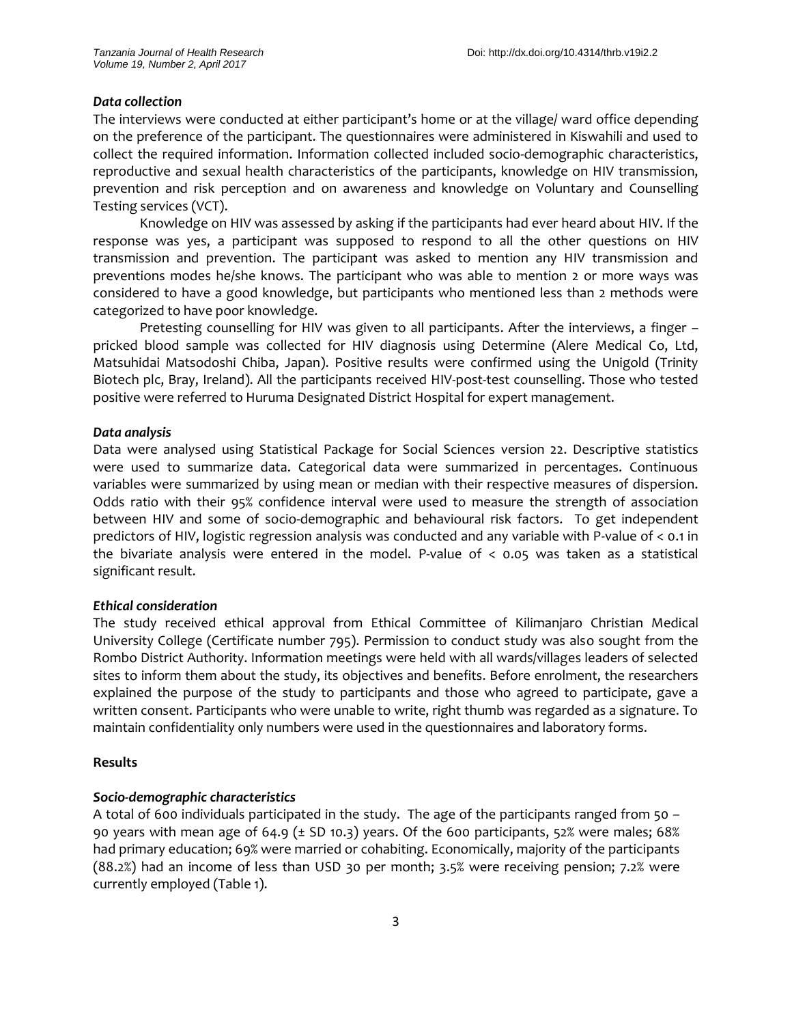#### *Data collection*

The interviews were conducted at either participant's home or at the village/ ward office depending on the preference of the participant. The questionnaires were administered in Kiswahili and used to collect the required information. Information collected included socio-demographic characteristics, reproductive and sexual health characteristics of the participants, knowledge on HIV transmission, prevention and risk perception and on awareness and knowledge on Voluntary and Counselling Testing services (VCT).

Knowledge on HIV was assessed by asking if the participants had ever heard about HIV. If the response was yes, a participant was supposed to respond to all the other questions on HIV transmission and prevention. The participant was asked to mention any HIV transmission and preventions modes he/she knows. The participant who was able to mention 2 or more ways was considered to have a good knowledge, but participants who mentioned less than 2 methods were categorized to have poor knowledge.

Pretesting counselling for HIV was given to all participants. After the interviews, a finger – pricked blood sample was collected for HIV diagnosis using Determine (Alere Medical Co, Ltd, Matsuhidai Matsodoshi Chiba, Japan). Positive results were confirmed using the Unigold (Trinity Biotech plc, Bray, Ireland). All the participants received HIV-post-test counselling. Those who tested positive were referred to Huruma Designated District Hospital for expert management.

#### *Data analysis*

Data were analysed using Statistical Package for Social Sciences version 22. Descriptive statistics were used to summarize data. Categorical data were summarized in percentages. Continuous variables were summarized by using mean or median with their respective measures of dispersion. Odds ratio with their 95% confidence interval were used to measure the strength of association between HIV and some of socio-demographic and behavioural risk factors. To get independent predictors of HIV, logistic regression analysis was conducted and any variable with P-value of < 0.1 in the bivariate analysis were entered in the model. P-value of  $<$  0.05 was taken as a statistical significant result.

#### *Ethical consideration*

The study received ethical approval from Ethical Committee of Kilimanjaro Christian Medical University College (Certificate number 795). Permission to conduct study was also sought from the Rombo District Authority. Information meetings were held with all wards/villages leaders of selected sites to inform them about the study, its objectives and benefits. Before enrolment, the researchers explained the purpose of the study to participants and those who agreed to participate, gave a written consent. Participants who were unable to write, right thumb was regarded as a signature. To maintain confidentiality only numbers were used in the questionnaires and laboratory forms.

#### **Results**

#### *Socio-demographic characteristics*

A total of 600 individuals participated in the study. The age of the participants ranged from 50 – 90 years with mean age of 64.9 ( $\pm$  SD 10.3) years. Of the 600 participants, 52% were males; 68% had primary education; 69% were married or cohabiting. Economically, majority of the participants (88.2%) had an income of less than USD 30 per month; 3.5% were receiving pension; 7.2% were currently employed (Table 1).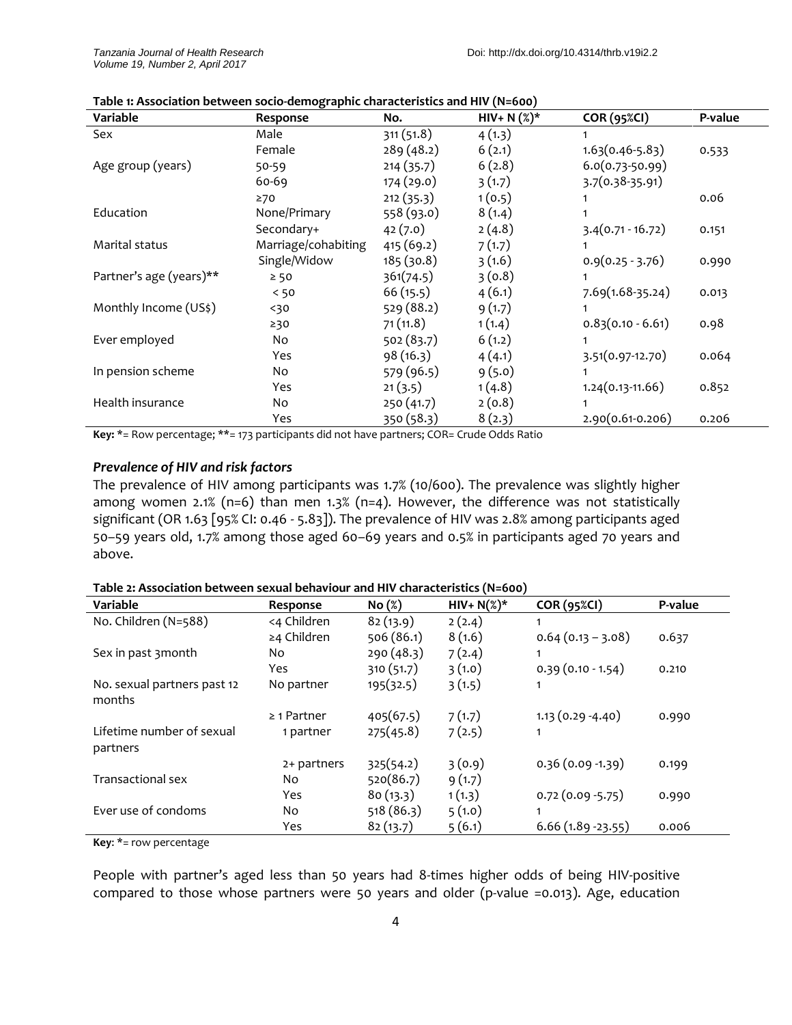| Variable                | Response            | No.        | $HIV+ N({\cal Z})^*$ | <b>COR (95%CI)</b>   | P-value |
|-------------------------|---------------------|------------|----------------------|----------------------|---------|
| Sex                     | Male                | 311(51.8)  | 4(1.3)               |                      |         |
|                         | Female              | 289(48.2)  | 6(2.1)               | $1.63(0.46-5.83)$    | 0.533   |
| Age group (years)       | 50-59               | 214(35.7)  | 6(2.8)               | $6.0(0.73 - 50.99)$  |         |
|                         | $60 - 69$           | 174 (29.0) | 3(1.7)               | 3.7(0.38-35.91)      |         |
|                         | 270                 | 212(35.3)  | 1(0.5)               |                      | 0.06    |
| Education               | None/Primary        | 558 (93.0) | 8(1.4)               |                      |         |
|                         | Secondary+          | 42(7.0)    | 2(4.8)               | $3.4(0.71 - 16.72)$  | 0.151   |
| Marital status          | Marriage/cohabiting | 415 (69.2) | 7(1.7)               |                      |         |
|                         | Single/Widow        | 185(30.8)  | 3(1.6)               | $0.9(0.25 - 3.76)$   | 0.990   |
| Partner's age (years)** | $\geq 50$           | 361(74.5)  | 3(0.8)               |                      |         |
|                         | < 50                | 66(15.5)   | 4(6.1)               | $7.69(1.68-35.24)$   | 0.013   |
| Monthly Income (US\$)   | $30$                | 529 (88.2) | 9(1.7)               |                      |         |
|                         | ≥30                 | 71(11.8)   | 1(1.4)               | $0.83(0.10 - 6.61)$  | 0.98    |
| Ever employed           | No                  | 502(83.7)  | 6(1.2)               | 1                    |         |
|                         | Yes                 | 98(16.3)   | 4(4.1)               | 3.51(0.97-12.70)     | 0.064   |
| In pension scheme       | No                  | 579 (96.5) | 9(5.0)               |                      |         |
|                         | Yes                 | 21(3.5)    | 1(4.8)               | $1.24(0.13 - 11.66)$ | 0.852   |
| Health insurance        | No                  | 250(41.7)  | 2(0.8)               |                      |         |
|                         | Yes                 | 350(58.3)  | 8(2.3)               | 2.90(0.61-0.206)     | 0.206   |

**Table 1: Association between socio-demographic characteristics and HIV (N=600)**

**Key:** \*= Row percentage; \*\*= 173 participants did not have partners; COR= Crude Odds Ratio

#### *Prevalence of HIV and risk factors*

The prevalence of HIV among participants was 1.7% (10/600). The prevalence was slightly higher among women 2.1% (n=6) than men 1.3% (n=4). However, the difference was not statistically significant (OR 1.63 [95% CI: 0.46 - 5.83]). The prevalence of HIV was 2.8% among participants aged 50–59 years old, 1.7% among those aged 60–69 years and 0.5% in participants aged 70 years and above.

| Table 2: Association between sexual behaviour and HIV characteristics (N=600) |  |
|-------------------------------------------------------------------------------|--|
|-------------------------------------------------------------------------------|--|

| Variable                              | Response         | No(%)      | $HIV+ N(\%)^*$ | <b>COR (95%CI)</b>  | P-value |
|---------------------------------------|------------------|------------|----------------|---------------------|---------|
| No. Children (N=588)                  | <4 Children      | 82(13.9)   | 2(2.4)         |                     |         |
|                                       | ≥4 Children      | 506 (86.1) | 8(1.6)         | $0.64(0.13 - 3.08)$ | 0.637   |
| Sex in past 3 month                   | No               | 290 (48.3) | 7(2.4)         | 1                   |         |
|                                       | Yes              | 310 (51.7) | 3(1.0)         | $0.39(0.10 - 1.54)$ | 0.210   |
| No. sexual partners past 12<br>months | No partner       | 195(32.5)  | 3(1.5)         | 1                   |         |
|                                       | $\geq$ 1 Partner | 405(67.5)  | 7(1.7)         | $1.13(0.29 - 4.40)$ | 0.990   |
| Lifetime number of sexual<br>partners | 1 partner        | 275(45.8)  | 7(2.5)         | 1                   |         |
|                                       | 2+ partners      | 325(54.2)  | 3(0.9)         | $0.36(0.09 - 1.39)$ | 0.199   |
| Transactional sex                     | No.              | 520(86.7)  | 9(1.7)         |                     |         |
|                                       | Yes              | 80(13.3)   | 1(1.3)         | $0.72(0.09 - 5.75)$ | 0.990   |
| Ever use of condoms                   | No.              | 518 (86.3) | 5(1.0)         |                     |         |
|                                       | Yes              | 82(13.7)   | 5(6.1)         | $6.66(1.89-23.55)$  | 0.006   |

**Key**: \*= row percentage

People with partner's aged less than 50 years had 8-times higher odds of being HIV-positive compared to those whose partners were 50 years and older (p-value =0.013). Age, education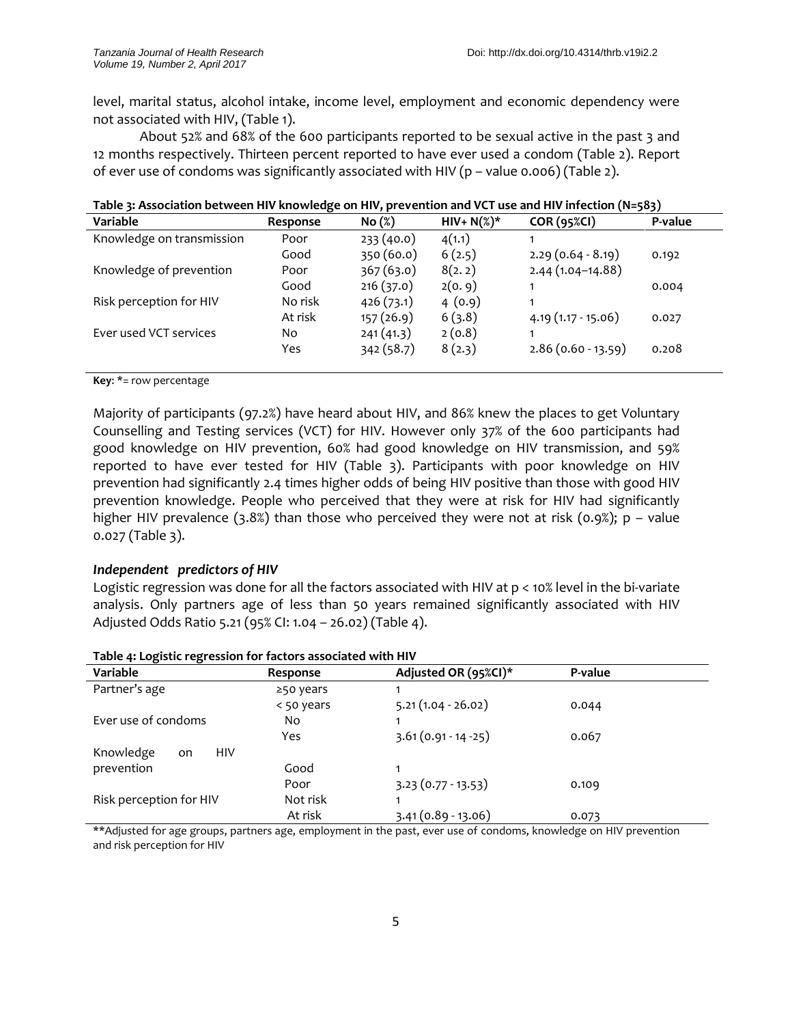level, marital status, alcohol intake, income level, employment and economic dependency were not associated with HIV, (Table 1).

About 52% and 68% of the 600 participants reported to be sexual active in the past 3 and 12 months respectively. Thirteen percent reported to have ever used a condom (Table 2). Report of ever use of condoms was significantly associated with HIV (p – value 0.006) (Table 2).

| Variable                  | $\cdot$<br>Response | . .<br>No(%) | $HIV+ N(\%)^*$ | <b>COR (95%CI)</b>   | - - -<br>P-value |
|---------------------------|---------------------|--------------|----------------|----------------------|------------------|
| Knowledge on transmission | Poor                | 233(40.0)    | 4(1.1)         |                      |                  |
|                           | Good                | 350 (60.0)   | 6(2.5)         | $2.29(0.64 - 8.19)$  | 0.192            |
| Knowledge of prevention   | Poor                | 367(63.0)    | 8(2.2)         | $2.44(1.04-14.88)$   |                  |
|                           | Good                | 216(37.0)    | 2(0.9)         |                      | 0.004            |
| Risk perception for HIV   | No risk             | 426(73.1)    | 4(0.9)         |                      |                  |
|                           | At risk             | 157(26.9)    | 6(3.8)         | $4.19(1.17 - 15.06)$ | 0.027            |
| Ever used VCT services    | No.                 | 241(41.3)    | 2(0.8)         |                      |                  |
|                           | Yes                 | 342(58.7)    | 8(2.3)         | $2.86(0.60 - 13.59)$ | 0.208            |
|                           |                     |              |                |                      |                  |

| Table 3: Association between HIV knowledge on HIV, prevention and VCT use and HIV infection (N=583) |  |  |
|-----------------------------------------------------------------------------------------------------|--|--|
|-----------------------------------------------------------------------------------------------------|--|--|

**Key**: \*= row percentage

Majority of participants (97.2%) have heard about HIV, and 86% knew the places to get Voluntary Counselling and Testing services (VCT) for HIV. However only 37% of the 600 participants had good knowledge on HIV prevention, 60% had good knowledge on HIV transmission, and 59% reported to have ever tested for HIV (Table 3). Participants with poor knowledge on HIV prevention had significantly 2.4 times higher odds of being HIV positive than those with good HIV prevention knowledge. People who perceived that they were at risk for HIV had significantly higher HIV prevalence (3.8%) than those who perceived they were not at risk (0.9%);  $p -$  value 0.027 (Table 3).

## *Independent predictors of HIV*

Logistic regression was done for all the factors associated with HIV at p < 10% level in the bi-variate analysis. Only partners age of less than 50 years remained significantly associated with HIV Adjusted Odds Ratio 5.21 (95% CI: 1.04 – 26.02) (Table 4).

| Variable                      | Response   | Adjusted OR (95%CI)*   | P-value |
|-------------------------------|------------|------------------------|---------|
| Partner's age                 | ≥50 years  |                        |         |
|                               | < 50 years | $5.21(1.04 - 26.02)$   | 0.044   |
| Ever use of condoms           | No         |                        |         |
|                               | Yes        | $3.61(0.91 - 14 - 25)$ | 0.067   |
| Knowledge<br><b>HIV</b><br>on |            |                        |         |
| prevention                    | Good       |                        |         |
|                               | Poor       | $3.23(0.77-13.53)$     | 0.109   |
| Risk perception for HIV       | Not risk   |                        |         |
|                               | At risk    | $3.41(0.89 - 13.06)$   | 0.073   |

**Table 4: Logistic regression for factors associated with HIV** 

\*\*Adjusted for age groups, partners age, employment in the past, ever use of condoms, knowledge on HIV prevention and risk perception for HIV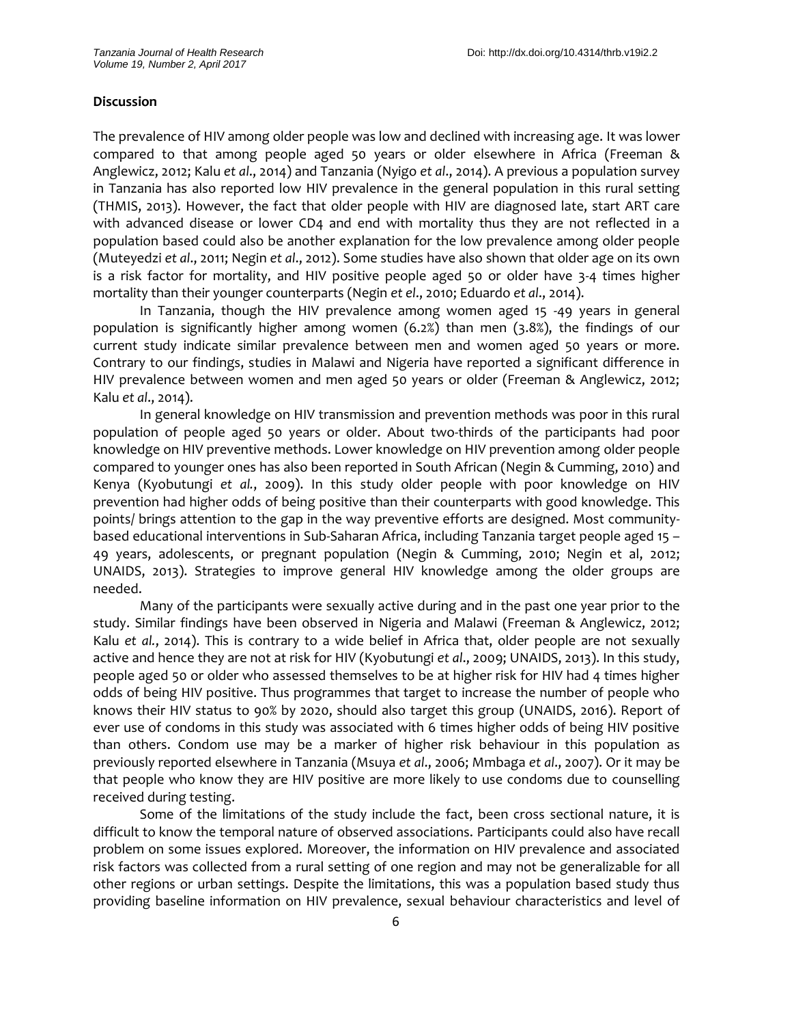#### **Discussion**

The prevalence of HIV among older people was low and declined with increasing age. It was lower compared to that among people aged 50 years or older elsewhere in Africa (Freeman & Anglewicz, 2012; Kalu *et al*., 2014) and Tanzania (Nyigo *et al*., 2014). A previous a population survey in Tanzania has also reported low HIV prevalence in the general population in this rural setting (THMIS, 2013). However, the fact that older people with HIV are diagnosed late, start ART care with advanced disease or lower CD4 and end with mortality thus they are not reflected in a population based could also be another explanation for the low prevalence among older people (Muteyedzi *et al*., 2011; Negin *et al*., 2012). Some studies have also shown that older age on its own is a risk factor for mortality, and HIV positive people aged 50 or older have 3-4 times higher mortality than their younger counterparts (Negin *et el*., 2010; Eduardo *et al*., 2014).

In Tanzania, though the HIV prevalence among women aged 15 -49 years in general population is significantly higher among women (6.2%) than men (3.8%), the findings of our current study indicate similar prevalence between men and women aged 50 years or more. Contrary to our findings, studies in Malawi and Nigeria have reported a significant difference in HIV prevalence between women and men aged 50 years or older (Freeman & Anglewicz, 2012; Kalu *et al*., 2014).

In general knowledge on HIV transmission and prevention methods was poor in this rural population of people aged 50 years or older. About two-thirds of the participants had poor knowledge on HIV preventive methods. Lower knowledge on HIV prevention among older people compared to younger ones has also been reported in South African (Negin & Cumming, 2010) and Kenya (Kyobutungi *et al.*, 2009). In this study older people with poor knowledge on HIV prevention had higher odds of being positive than their counterparts with good knowledge. This points/ brings attention to the gap in the way preventive efforts are designed. Most communitybased educational interventions in Sub-Saharan Africa, including Tanzania target people aged 15 – 49 years, adolescents, or pregnant population (Negin & Cumming, 2010; Negin et al, 2012; UNAIDS, 2013). Strategies to improve general HIV knowledge among the older groups are needed.

Many of the participants were sexually active during and in the past one year prior to the study. Similar findings have been observed in Nigeria and Malawi (Freeman & Anglewicz, 2012; Kalu *et al.*, 2014). This is contrary to a wide belief in Africa that, older people are not sexually active and hence they are not at risk for HIV (Kyobutungi *et al*., 2009; UNAIDS, 2013). In this study, people aged 50 or older who assessed themselves to be at higher risk for HIV had 4 times higher odds of being HIV positive. Thus programmes that target to increase the number of people who knows their HIV status to 90% by 2020, should also target this group (UNAIDS, 2016). Report of ever use of condoms in this study was associated with 6 times higher odds of being HIV positive than others. Condom use may be a marker of higher risk behaviour in this population as previously reported elsewhere in Tanzania (Msuya *et al*., 2006; Mmbaga *et al*., 2007). Or it may be that people who know they are HIV positive are more likely to use condoms due to counselling received during testing.

Some of the limitations of the study include the fact, been cross sectional nature, it is difficult to know the temporal nature of observed associations. Participants could also have recall problem on some issues explored. Moreover, the information on HIV prevalence and associated risk factors was collected from a rural setting of one region and may not be generalizable for all other regions or urban settings. Despite the limitations, this was a population based study thus providing baseline information on HIV prevalence, sexual behaviour characteristics and level of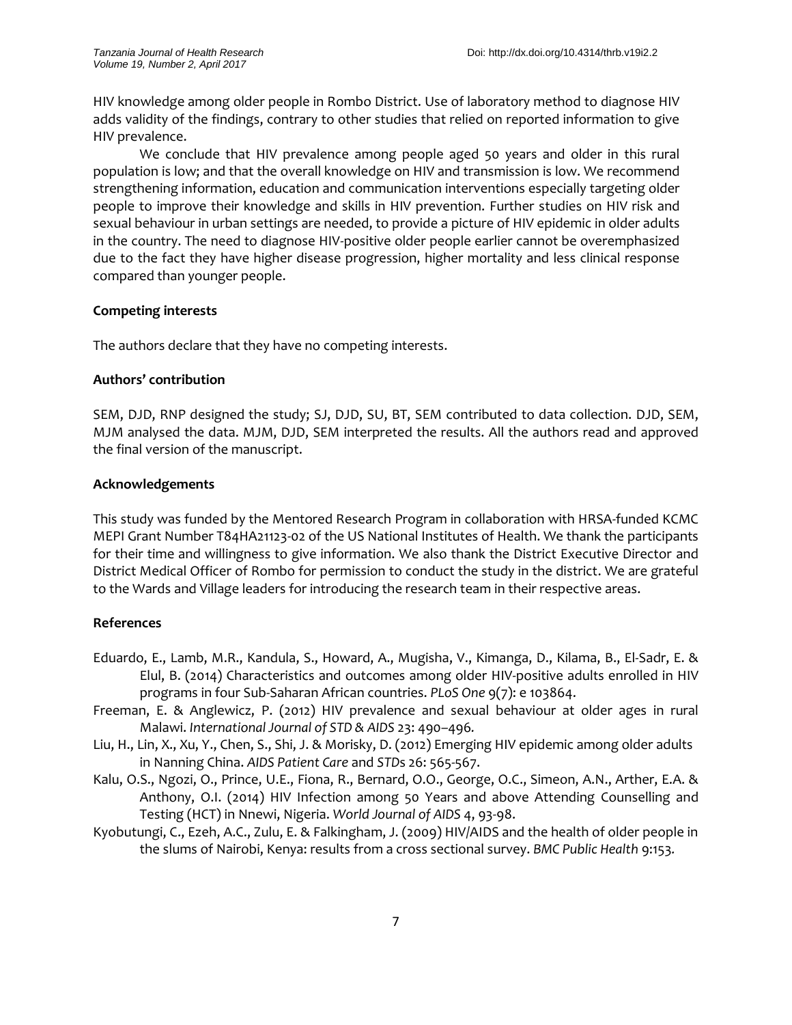HIV knowledge among older people in Rombo District. Use of laboratory method to diagnose HIV adds validity of the findings, contrary to other studies that relied on reported information to give HIV prevalence.

We conclude that HIV prevalence among people aged 50 years and older in this rural population is low; and that the overall knowledge on HIV and transmission is low. We recommend strengthening information, education and communication interventions especially targeting older people to improve their knowledge and skills in HIV prevention. Further studies on HIV risk and sexual behaviour in urban settings are needed, to provide a picture of HIV epidemic in older adults in the country. The need to diagnose HIV-positive older people earlier cannot be overemphasized due to the fact they have higher disease progression, higher mortality and less clinical response compared than younger people.

## **Competing interests**

The authors declare that they have no competing interests.

## **Authors' contribution**

SEM, DJD, RNP designed the study; SJ, DJD, SU, BT, SEM contributed to data collection. DJD, SEM, MJM analysed the data. MJM, DJD, SEM interpreted the results. All the authors read and approved the final version of the manuscript.

## **Acknowledgements**

This study was funded by the Mentored Research Program in collaboration with HRSA-funded KCMC MEPI Grant Number T84HA21123-02 of the US National Institutes of Health. We thank the participants for their time and willingness to give information. We also thank the District Executive Director and District Medical Officer of Rombo for permission to conduct the study in the district. We are grateful to the Wards and Village leaders for introducing the research team in their respective areas.

# **References**

- Eduardo, E., Lamb, M.R., Kandula, S., Howard, A., Mugisha, V., Kimanga, D., Kilama, B., El-Sadr, E. & Elul, B. (2014) Characteristics and outcomes among older HIV-positive adults enrolled in HIV programs in four Sub-Saharan African countries. *PLoS One* 9(7): e 103864.
- Freeman, E. & Anglewicz, P. (2012) HIV prevalence and sexual behaviour at older ages in rural Malawi. *International Journal of STD & AIDS* 23: 490–496*.*
- Liu, H., Lin, X., Xu, Y., Chen, S., Shi, J. & Morisky, D. (2012) Emerging HIV epidemic among older adults in Nanning China. *AIDS Patient Care* and *STD*s 26: 565-567.
- Kalu, O.S., Ngozi, O., Prince, U.E., Fiona, R., Bernard, O.O., George, O.C., Simeon, A.N., Arther, E.A. & Anthony, O.I. (2014) HIV Infection among 50 Years and above Attending Counselling and Testing (HCT) in Nnewi, Nigeria. *World Journal of AIDS* 4, 93-98.
- Kyobutungi, C., Ezeh, A.C., Zulu, E. & Falkingham, J. (2009) HIV/AIDS and the health of older people in the slums of Nairobi, Kenya: results from a cross sectional survey. *BMC Public Health* 9:153*.*